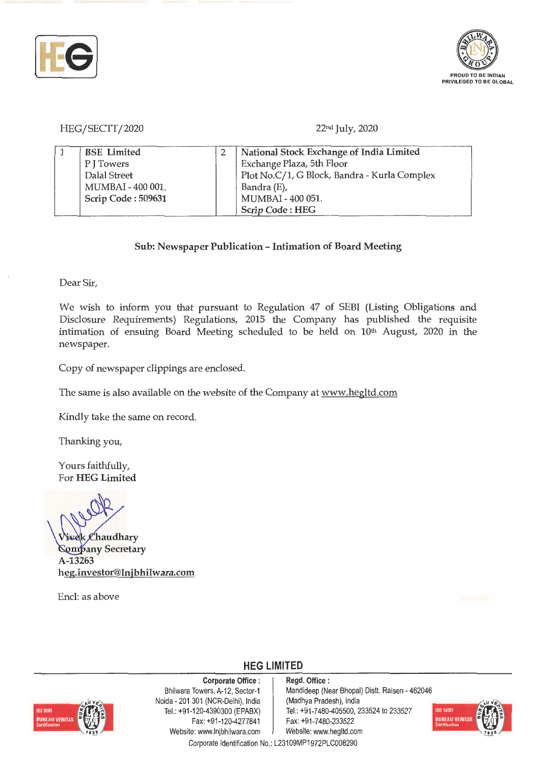



HEG/SECIT/2020 22nd July, 2020

| <b>BSE</b> Limited | National Stock Exchange of India Limited     |
|--------------------|----------------------------------------------|
| PITowers           | Exchange Plaza, 5th Floor                    |
| Dalal Street       | Plot No.C/1, G Block, Bandra - Kurla Complex |
| MUMBAI - 400 001.  | Bandra (E),                                  |
| Scrip Code: 509631 | MUMBAI - 400 051.                            |
|                    | Scrip Code: HEG                              |

#### **Sub: Newspaper Publication** - **Intimation of Board Meeting**

Dear Sir,

We wish to inform you that pursuant to Regulation 47 of SEBI (Listing Obligations and Disclosure Requirements) Regulations, 2015 the Company has published the requisite intimation of ensuing Board Meeting scheduled to be held on 10<sup>th</sup> August, 2020 in the newspaper.

Copy of newspaper clippings are enclosed.

The same is also available on the website of the Company at www.hegltd.com

Kindly take the same on record.

Thanking you,

Yours faithfully, For **HEG Limited** 

**haudhary**  *<u>Sompany Secretary</u>* **A-13263 heg.investor@lnjbhilwara.com** 

Encl: as above

**HEG LIMITED** 



**Corporate Office** : Bhilwara Towers, A-12, Sector-1 Noida - 201 301 (NCR-Delhi), India Tel.: +91-120-4390300 (EPABX) Fax: +91 -120-4277841 Website: www.lnjbhilwara.com | Website: www.hegltd.com

**Regd. Office** : Mandideep (Near Bhopal) Distt. Raisen - 462046 (Madhya Pradesh), India Tel.: +91 -7480-405500, 233524 to 233527 Fax: +91-7480-233522



Corporate Identification No.: L23109MP1972PLC008290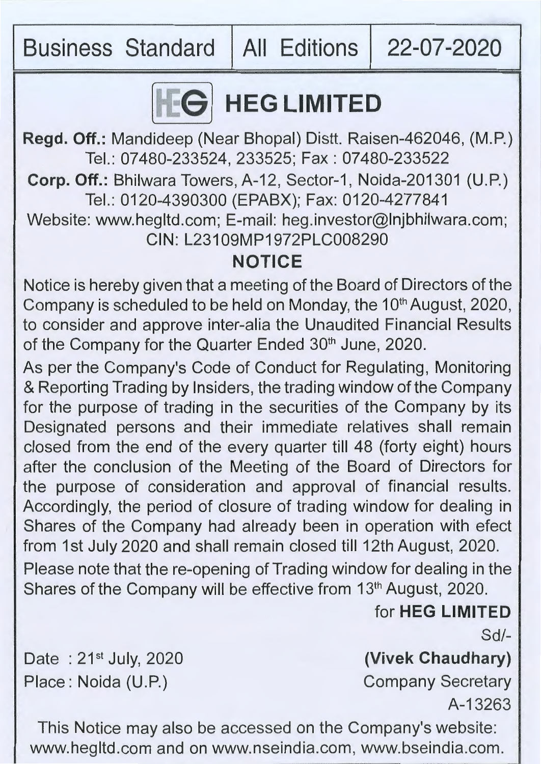Business Standard | All Editions | 22-07-2020



# **IFG LIMITED**

**Regd. Off.:** Mandideep (Near Bhopal) Distt. Raisen-462046, (M.P.) Tel.: 07480-233524, 233525; Fax: 07480-233522 **Corp. Off.: Bhilwara Towers, A-12, Sector-1, Noida-201301 (U.P.)** Tel.: 0120-4390300 (EPABX); Fax: 0120-4277841 Website: www.hegltd.com; E-mail: heg.investor@lnjbhilwara.com; CIN: L23109MP1972PLC008290

#### **NOTICE**

Notice is hereby given that a meeting of the Board of Directors of the Company is scheduled to be held on Monday, the 10<sup>th</sup> August, 2020, to consider and approve inter-alia the Unaudited Financial Results of the Company for the Quarter Ended 30<sup>th</sup> June, 2020.

As per the Company's Code of Conduct for Regulating, Monitoring & Reporting Trading by Insiders, the trading window of the Company for the purpose of trading in the securities of the Company by its Designated persons and their immediate relatives shall remain closed from the end of the every quarter till 48 (forty eight) hours after the conclusion of the Meeting of the Board of Directors for the purpose of consideration and approval of financial results. Accordingly, the period of closure of trading window for dealing in Shares of the Company had already been in operation with efect from 1st July 2020 and shall remain closed till 12th August, 2020. Please note that the re-opening of Trading window for dealing in the Shares of the Company will be effective from 13<sup>th</sup> August, 2020.

for **HEG LIMITED** 

Sd/-

Date:  $21^{st}$  July, 2020 Place: Noida (U.P.)

**(Vivek Chaudhary)** 

Company Secretary A-13263

This Notice may also be accessed on the Company's website: www.hegltd.com and on www.nseindia.com, www.bseindia.com.